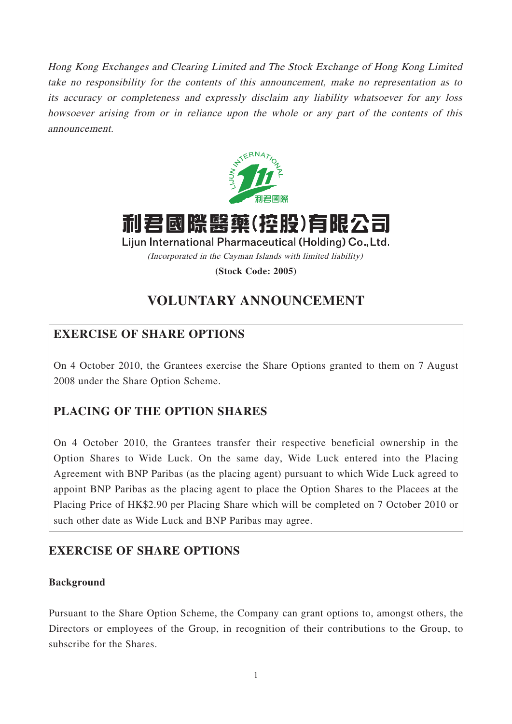Hong Kong Exchanges and Clearing Limited and The Stock Exchange of Hong Kong Limited take no responsibility for the contents of this announcement, make no representation as to its accuracy or completeness and expressly disclaim any liability whatsoever for any loss howsoever arising from or in reliance upon the whole or any part of the contents of this announcement.



利君國際醫藥(控股)有限;

Lijun International Pharmaceutical (Holding) Co., Ltd. (Incorporated in the Cayman Islands with limited liability)

**(Stock Code: 2005)**

# **VOLUNTARY ANNOUNCEMENT**

## **EXERCISE OF SHARE OPTIONS**

On 4 October 2010, the Grantees exercise the Share Options granted to them on 7 August 2008 under the Share Option Scheme.

## **PLACING OF THE OPTION SHARES**

On 4 October 2010, the Grantees transfer their respective beneficial ownership in the Option Shares to Wide Luck. On the same day, Wide Luck entered into the Placing Agreement with BNP Paribas (as the placing agent) pursuant to which Wide Luck agreed to appoint BNP Paribas as the placing agent to place the Option Shares to the Placees at the Placing Price of HK\$2.90 per Placing Share which will be completed on 7 October 2010 or such other date as Wide Luck and BNP Paribas may agree.

### **EXERCISE OF SHARE OPTIONS**

### **Background**

Pursuant to the Share Option Scheme, the Company can grant options to, amongst others, the Directors or employees of the Group, in recognition of their contributions to the Group, to subscribe for the Shares.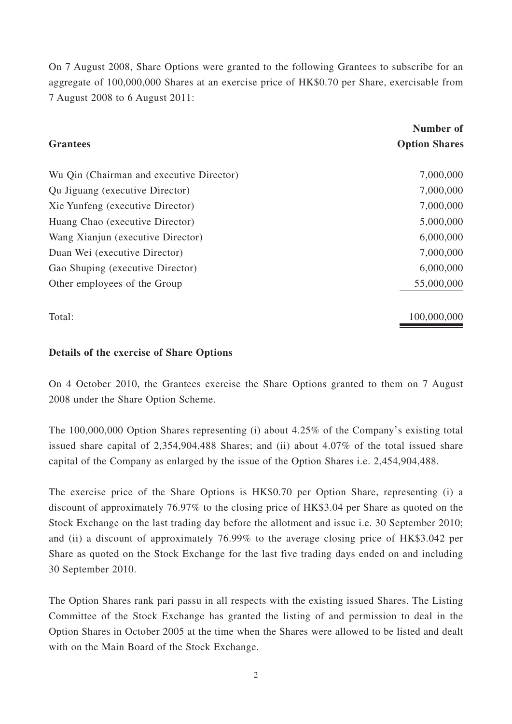On 7 August 2008, Share Options were granted to the following Grantees to subscribe for an aggregate of 100,000,000 Shares at an exercise price of HK\$0.70 per Share, exercisable from 7 August 2008 to 6 August 2011:

| <b>Grantees</b>                          | Number of<br><b>Option Shares</b> |
|------------------------------------------|-----------------------------------|
| Wu Qin (Chairman and executive Director) | 7,000,000                         |
| Qu Jiguang (executive Director)          | 7,000,000                         |
| Xie Yunfeng (executive Director)         | 7,000,000                         |
| Huang Chao (executive Director)          | 5,000,000                         |
| Wang Xianjun (executive Director)        | 6,000,000                         |
| Duan Wei (executive Director)            | 7,000,000                         |
| Gao Shuping (executive Director)         | 6,000,000                         |
| Other employees of the Group             | 55,000,000                        |
| Total:                                   | 100,000,000                       |

### **Details of the exercise of Share Options**

On 4 October 2010, the Grantees exercise the Share Options granted to them on 7 August 2008 under the Share Option Scheme.

The 100,000,000 Option Shares representing (i) about 4.25% of the Company's existing total issued share capital of 2,354,904,488 Shares; and (ii) about 4.07% of the total issued share capital of the Company as enlarged by the issue of the Option Shares i.e. 2,454,904,488.

The exercise price of the Share Options is HK\$0.70 per Option Share, representing (i) a discount of approximately 76.97% to the closing price of HK\$3.04 per Share as quoted on the Stock Exchange on the last trading day before the allotment and issue i.e. 30 September 2010; and (ii) a discount of approximately 76.99% to the average closing price of HK\$3.042 per Share as quoted on the Stock Exchange for the last five trading days ended on and including 30 September 2010.

The Option Shares rank pari passu in all respects with the existing issued Shares. The Listing Committee of the Stock Exchange has granted the listing of and permission to deal in the Option Shares in October 2005 at the time when the Shares were allowed to be listed and dealt with on the Main Board of the Stock Exchange.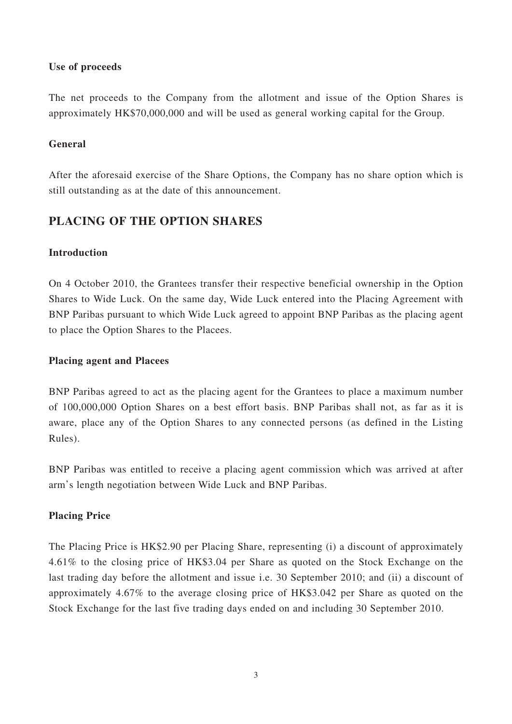### **Use of proceeds**

The net proceeds to the Company from the allotment and issue of the Option Shares is approximately HK\$70,000,000 and will be used as general working capital for the Group.

### **General**

After the aforesaid exercise of the Share Options, the Company has no share option which is still outstanding as at the date of this announcement.

### **PLACING OF THE OPTION SHARES**

#### **Introduction**

On 4 October 2010, the Grantees transfer their respective beneficial ownership in the Option Shares to Wide Luck. On the same day, Wide Luck entered into the Placing Agreement with BNP Paribas pursuant to which Wide Luck agreed to appoint BNP Paribas as the placing agent to place the Option Shares to the Placees.

#### **Placing agent and Placees**

BNP Paribas agreed to act as the placing agent for the Grantees to place a maximum number of 100,000,000 Option Shares on a best effort basis. BNP Paribas shall not, as far as it is aware, place any of the Option Shares to any connected persons (as defined in the Listing Rules).

BNP Paribas was entitled to receive a placing agent commission which was arrived at after arm's length negotiation between Wide Luck and BNP Paribas.

### **Placing Price**

The Placing Price is HK\$2.90 per Placing Share, representing (i) a discount of approximately 4.61% to the closing price of HK\$3.04 per Share as quoted on the Stock Exchange on the last trading day before the allotment and issue i.e. 30 September 2010; and (ii) a discount of approximately 4.67% to the average closing price of HK\$3.042 per Share as quoted on the Stock Exchange for the last five trading days ended on and including 30 September 2010.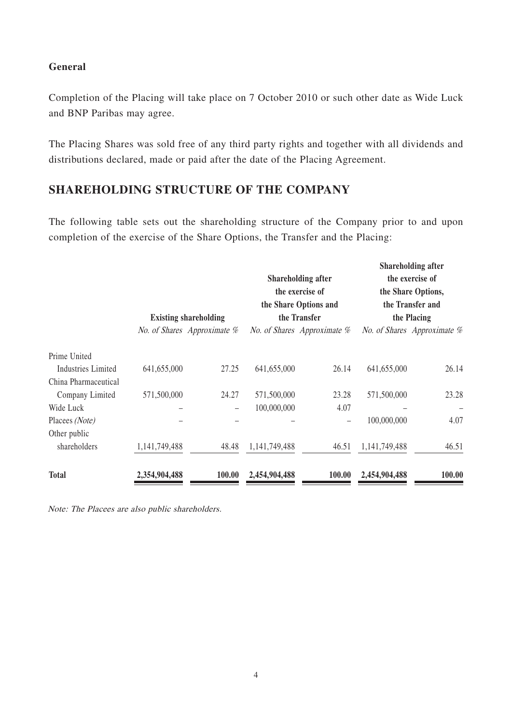#### **General**

Completion of the Placing will take place on 7 October 2010 or such other date as Wide Luck and BNP Paribas may agree.

The Placing Shares was sold free of any third party rights and together with all dividends and distributions declared, made or paid after the date of the Placing Agreement.

### **SHAREHOLDING STRUCTURE OF THE COMPANY**

The following table sets out the shareholding structure of the Company prior to and upon completion of the exercise of the Share Options, the Transfer and the Placing:

|                           | <b>Existing shareholding</b> |                             | <b>Shareholding after</b><br>the exercise of<br>the Share Options and<br>the Transfer |                             | <b>Shareholding after</b><br>the exercise of<br>the Share Options,<br>the Transfer and<br>the Placing |                             |
|---------------------------|------------------------------|-----------------------------|---------------------------------------------------------------------------------------|-----------------------------|-------------------------------------------------------------------------------------------------------|-----------------------------|
|                           |                              | No. of Shares Approximate % |                                                                                       | No. of Shares Approximate % |                                                                                                       | No. of Shares Approximate % |
| Prime United              |                              |                             |                                                                                       |                             |                                                                                                       |                             |
| <b>Industries Limited</b> | 641,655,000                  | 27.25                       | 641,655,000                                                                           | 26.14                       | 641,655,000                                                                                           | 26.14                       |
| China Pharmaceutical      |                              |                             |                                                                                       |                             |                                                                                                       |                             |
| Company Limited           | 571,500,000                  | 24.27                       | 571,500,000                                                                           | 23.28                       | 571,500,000                                                                                           | 23.28                       |
| Wide Luck                 |                              |                             | 100,000,000                                                                           | 4.07                        |                                                                                                       |                             |
| Placees (Note)            |                              |                             |                                                                                       |                             | 100,000,000                                                                                           | 4.07                        |
| Other public              |                              |                             |                                                                                       |                             |                                                                                                       |                             |
| shareholders              | 1,141,749,488                | 48.48                       | 1,141,749,488                                                                         | 46.51                       | 1,141,749,488                                                                                         | 46.51                       |
| Total                     | 2,354,904,488                | 100.00                      | 2,454,904,488                                                                         | 100.00                      | 2,454,904,488                                                                                         | 100.00                      |

Note: The Placees are also public shareholders.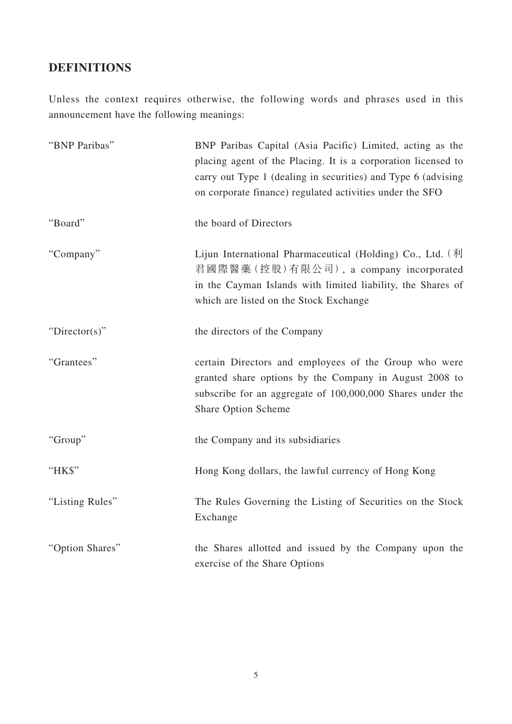# **DEFINITIONS**

Unless the context requires otherwise, the following words and phrases used in this announcement have the following meanings:

| "BNP Paribas"   | BNP Paribas Capital (Asia Pacific) Limited, acting as the<br>placing agent of the Placing. It is a corporation licensed to<br>carry out Type 1 (dealing in securities) and Type 6 (advising<br>on corporate finance) regulated activities under the SFO |
|-----------------|---------------------------------------------------------------------------------------------------------------------------------------------------------------------------------------------------------------------------------------------------------|
| "Board"         | the board of Directors                                                                                                                                                                                                                                  |
| "Company"       | Lijun International Pharmaceutical (Holding) Co., Ltd. $(\text{A})$<br>君國際醫藥(控股)有限公司), a company incorporated<br>in the Cayman Islands with limited liability, the Shares of<br>which are listed on the Stock Exchange                                  |
| " $Directory$ " | the directors of the Company                                                                                                                                                                                                                            |
| "Grantees"      | certain Directors and employees of the Group who were<br>granted share options by the Company in August 2008 to<br>subscribe for an aggregate of 100,000,000 Shares under the<br>Share Option Scheme                                                    |
| "Group"         | the Company and its subsidiaries                                                                                                                                                                                                                        |
| "HK\$"          | Hong Kong dollars, the lawful currency of Hong Kong                                                                                                                                                                                                     |
| "Listing Rules" | The Rules Governing the Listing of Securities on the Stock<br>Exchange                                                                                                                                                                                  |
| "Option Shares" | the Shares allotted and issued by the Company upon the<br>exercise of the Share Options                                                                                                                                                                 |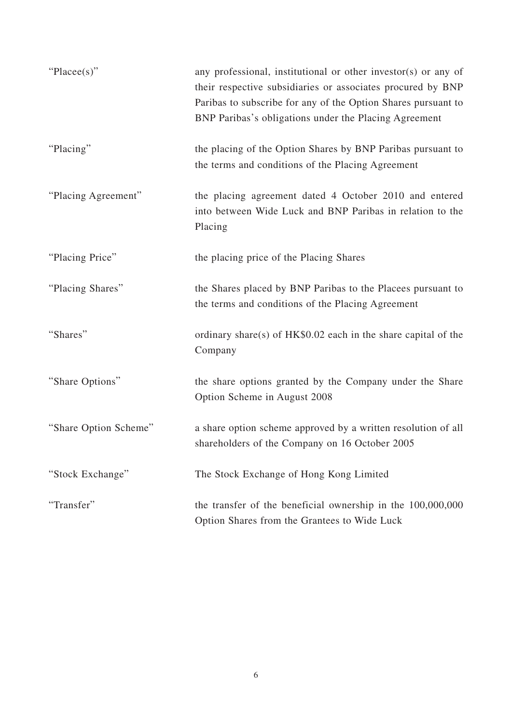| " $Place(s)$ "        | any professional, institutional or other investor(s) or any of<br>their respective subsidiaries or associates procured by BNP<br>Paribas to subscribe for any of the Option Shares pursuant to<br>BNP Paribas's obligations under the Placing Agreement |
|-----------------------|---------------------------------------------------------------------------------------------------------------------------------------------------------------------------------------------------------------------------------------------------------|
| "Placing"             | the placing of the Option Shares by BNP Paribas pursuant to<br>the terms and conditions of the Placing Agreement                                                                                                                                        |
| "Placing Agreement"   | the placing agreement dated 4 October 2010 and entered<br>into between Wide Luck and BNP Paribas in relation to the<br>Placing                                                                                                                          |
| "Placing Price"       | the placing price of the Placing Shares                                                                                                                                                                                                                 |
| "Placing Shares"      | the Shares placed by BNP Paribas to the Placees pursuant to<br>the terms and conditions of the Placing Agreement                                                                                                                                        |
| "Shares"              | ordinary share(s) of HK\$0.02 each in the share capital of the<br>Company                                                                                                                                                                               |
| "Share Options"       | the share options granted by the Company under the Share<br>Option Scheme in August 2008                                                                                                                                                                |
| "Share Option Scheme" | a share option scheme approved by a written resolution of all<br>shareholders of the Company on 16 October 2005                                                                                                                                         |
| "Stock Exchange"      | The Stock Exchange of Hong Kong Limited                                                                                                                                                                                                                 |
| "Transfer"            | the transfer of the beneficial ownership in the $100,000,000$<br>Option Shares from the Grantees to Wide Luck                                                                                                                                           |